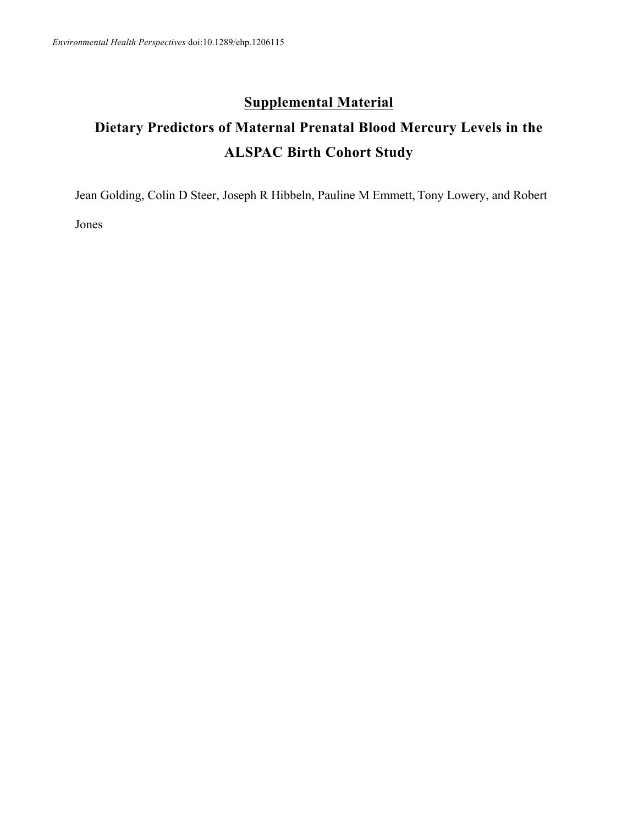## **Supplemental Material**

## **Dietary Predictors of Maternal Prenatal Blood Mercury Levels in the ALSPAC Birth Cohort Study**

Jean Golding, Colin D Steer, Joseph R Hibbeln, Pauline M Emmett, Tony Lowery, and Robert

Jones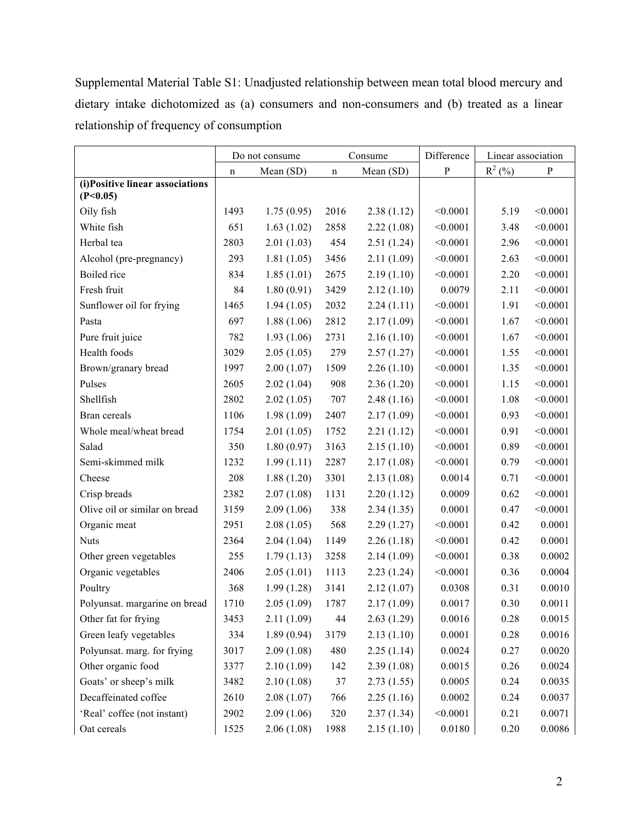Supplemental Material Table S1: Unadjusted relationship between mean total blood mercury and dietary intake dichotomized as (a) consumers and non-consumers and (b) treated as a linear relationship of frequency of consumption

|                                 |      | Do not consume | Consume        |            | Difference | Linear association |              |
|---------------------------------|------|----------------|----------------|------------|------------|--------------------|--------------|
|                                 | n    | Mean (SD)      | Mean (SD)<br>n |            | ${\bf P}$  | $R^2$ (%)          | $\mathbf{P}$ |
| (i)Positive linear associations |      |                |                |            |            |                    |              |
| (P<0.05)<br>Oily fish           | 1493 | 1.75(0.95)     | 2016           | 2.38(1.12) | < 0.0001   | 5.19               | < 0.0001     |
| White fish                      | 651  |                |                |            | < 0.0001   | 3.48               | < 0.0001     |
| Herbal tea                      | 2803 | 1.63(1.02)     | 2858<br>454    | 2.22(1.08) | < 0.0001   | 2.96               | < 0.0001     |
|                                 |      | 2.01(1.03)     |                | 2.51(1.24) |            |                    |              |
| Alcohol (pre-pregnancy)         | 293  | 1.81(1.05)     | 3456           | 2.11(1.09) | < 0.0001   | 2.63               | < 0.0001     |
| Boiled rice                     | 834  | 1.85(1.01)     | 2675           | 2.19(1.10) | < 0.0001   | 2.20               | < 0.0001     |
| Fresh fruit                     | 84   | 1.80(0.91)     | 3429           | 2.12(1.10) | 0.0079     | 2.11               | < 0.0001     |
| Sunflower oil for frying        | 1465 | 1.94(1.05)     | 2032           | 2.24(1.11) | < 0.0001   | 1.91               | < 0.0001     |
| Pasta                           | 697  | 1.88(1.06)     | 2812           | 2.17(1.09) | < 0.0001   | 1.67               | < 0.0001     |
| Pure fruit juice                | 782  | 1.93(1.06)     | 2731           | 2.16(1.10) | < 0.0001   | 1.67               | < 0.0001     |
| Health foods                    | 3029 | 2.05(1.05)     | 279            | 2.57(1.27) | < 0.0001   | 1.55               | < 0.0001     |
| Brown/granary bread             | 1997 | 2.00(1.07)     | 1509           | 2.26(1.10) | < 0.0001   | 1.35               | < 0.0001     |
| Pulses                          | 2605 | 2.02(1.04)     | 908            | 2.36(1.20) | < 0.0001   | 1.15               | < 0.0001     |
| Shellfish                       | 2802 | 2.02(1.05)     | 707            | 2.48(1.16) | < 0.0001   | 1.08               | < 0.0001     |
| Bran cereals                    | 1106 | 1.98(1.09)     | 2407           | 2.17(1.09) | < 0.0001   | 0.93               | < 0.0001     |
| Whole meal/wheat bread          | 1754 | 2.01(1.05)     | 1752           | 2.21(1.12) | < 0.0001   | 0.91               | < 0.0001     |
| Salad                           | 350  | 1.80(0.97)     | 3163           | 2.15(1.10) | < 0.0001   | 0.89               | < 0.0001     |
| Semi-skimmed milk               | 1232 | 1.99(1.11)     | 2287           | 2.17(1.08) | < 0.0001   | 0.79               | < 0.0001     |
| Cheese                          | 208  | 1.88(1.20)     | 3301           | 2.13(1.08) | 0.0014     | 0.71               | < 0.0001     |
| Crisp breads                    | 2382 | 2.07(1.08)     | 1131           | 2.20(1.12) | 0.0009     | 0.62               | < 0.0001     |
| Olive oil or similar on bread   | 3159 | 2.09(1.06)     | 338            | 2.34(1.35) | 0.0001     | 0.47               | < 0.0001     |
| Organic meat                    | 2951 | 2.08(1.05)     | 568            | 2.29(1.27) | < 0.0001   | 0.42               | 0.0001       |
| <b>Nuts</b>                     | 2364 | 2.04(1.04)     | 1149           | 2.26(1.18) | < 0.0001   | 0.42               | 0.0001       |
| Other green vegetables          | 255  | 1.79(1.13)     | 3258           | 2.14(1.09) | < 0.0001   | 0.38               | 0.0002       |
| Organic vegetables              | 2406 | 2.05(1.01)     | 1113           | 2.23(1.24) | < 0.0001   | 0.36               | 0.0004       |
| Poultry                         | 368  | 1.99(1.28)     | 3141           | 2.12(1.07) | 0.0308     | 0.31               | 0.0010       |
| Polyunsat. margarine on bread   | 1710 | 2.05(1.09)     | 1787           | 2.17(1.09) | 0.0017     | 0.30               | 0.0011       |
| Other fat for frying            | 3453 | 2.11(1.09)     | 44             | 2.63(1.29) | 0.0016     | 0.28               | 0.0015       |
| Green leafy vegetables          | 334  | 1.89(0.94)     | 3179           | 2.13(1.10) | 0.0001     | 0.28               | 0.0016       |
| Polyunsat. marg. for frying     | 3017 | 2.09(1.08)     | 480            | 2.25(1.14) | 0.0024     | 0.27               | 0.0020       |
| Other organic food              | 3377 | 2.10(1.09)     | 142            | 2.39(1.08) | 0.0015     | 0.26               | 0.0024       |
| Goats' or sheep's milk          | 3482 | 2.10(1.08)     | 37             | 2.73(1.55) | 0.0005     | 0.24               | 0.0035       |
| Decaffeinated coffee            | 2610 | 2.08(1.07)     | 766            | 2.25(1.16) | 0.0002     | 0.24               | 0.0037       |
| 'Real' coffee (not instant)     | 2902 | 2.09(1.06)     | 320            | 2.37(1.34) | < 0.0001   | 0.21               | 0.0071       |
| Oat cereals                     | 1525 | 2.06(1.08)     | 1988           | 2.15(1.10) | 0.0180     | 0.20               | 0.0086       |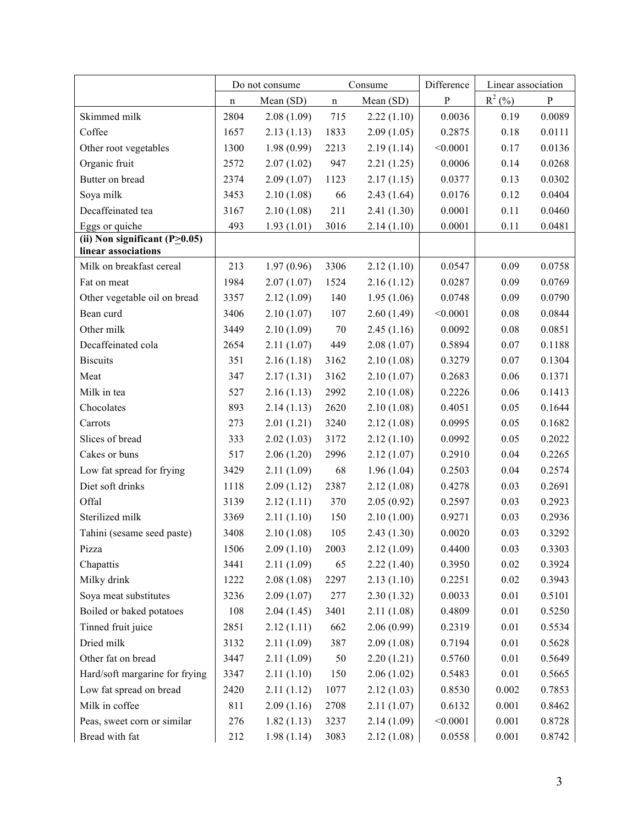|                                                 |             | Do not consume | Consume      |                          | Difference       | Linear association |                  |
|-------------------------------------------------|-------------|----------------|--------------|--------------------------|------------------|--------------------|------------------|
|                                                 | $\mathbf n$ | Mean (SD)      | n            | Mean (SD)                | P                | $R^2$ (%)          | P                |
| Skimmed milk                                    | 2804        | 2.08(1.09)     | 715          | 2.22(1.10)               | 0.0036           | 0.19               | 0.0089           |
| Coffee                                          | 1657        | 2.13(1.13)     | 1833         | 2.09(1.05)               | 0.2875           | 0.18               | 0.0111           |
| Other root vegetables                           | 1300        | 1.98(0.99)     | 2213         | 2.19(1.14)               | < 0.0001         | 0.17               | 0.0136           |
| Organic fruit                                   | 2572        | 2.07(1.02)     | 947          | 2.21(1.25)               | 0.0006           | 0.14               | 0.0268           |
| Butter on bread                                 | 2374        | 2.09(1.07)     | 1123         | 2.17(1.15)               | 0.0377           | 0.13               | 0.0302           |
| Soya milk                                       | 3453        | 2.10(1.08)     | 66           | 2.43(1.64)               | 0.0176           | 0.12               | 0.0404           |
| Decaffeinated tea                               | 3167        | 2.10(1.08)     | 211          | 2.41(1.30)               | 0.0001           | 0.11               | 0.0460           |
| Eggs or quiche                                  | 493         | 1.93(1.01)     | 3016         | 2.14(1.10)               | 0.0001           | 0.11               | 0.0481           |
| (ii) Non significant $(P>0.05)$                 |             |                |              |                          |                  |                    |                  |
| linear associations<br>Milk on breakfast cereal | 213         |                | 3306         |                          | 0.0547           | 0.09               |                  |
|                                                 | 1984        | 1.97(0.96)     |              | 2.12(1.10)               |                  |                    | 0.0758           |
| Fat on meat                                     | 3357        | 2.07(1.07)     | 1524<br>140  | 2.16(1.12)<br>1.95(1.06) | 0.0287<br>0.0748 | 0.09<br>0.09       | 0.0769<br>0.0790 |
| Other vegetable oil on bread<br>Bean curd       | 3406        | 2.12(1.09)     | 107          |                          | < 0.0001         | 0.08               | 0.0844           |
| Other milk                                      | 3449        | 2.10(1.07)     | 70           | 2.60(1.49)               | 0.0092           | 0.08               | 0.0851           |
| Decaffeinated cola                              | 2654        | 2.10(1.09)     | 449          | 2.45(1.16)<br>2.08(1.07) | 0.5894           | 0.07               | 0.1188           |
|                                                 | 351         | 2.11(1.07)     | 3162         |                          |                  | 0.07               |                  |
| <b>Biscuits</b><br>Meat                         | 347         | 2.16(1.18)     |              | 2.10(1.08)               | 0.3279<br>0.2683 | 0.06               | 0.1304<br>0.1371 |
| Milk in tea                                     | 527         | 2.17(1.31)     | 3162         | 2.10(1.07)               | 0.2226           | 0.06               | 0.1413           |
|                                                 |             | 2.16(1.13)     | 2992         | 2.10(1.08)               |                  |                    |                  |
| Chocolates                                      | 893         | 2.14(1.13)     | 2620<br>3240 | 2.10(1.08)               | 0.4051<br>0.0995 | 0.05               | 0.1644           |
| Carrots<br>Slices of bread                      | 273         | 2.01(1.21)     |              | 2.12(1.08)               |                  | 0.05               | 0.1682<br>0.2022 |
| Cakes or buns                                   | 333<br>517  | 2.02(1.03)     | 3172<br>2996 | 2.12(1.10)<br>2.12(1.07) | 0.0992<br>0.2910 | 0.05<br>0.04       | 0.2265           |
|                                                 |             | 2.06(1.20)     |              |                          | 0.2503           | 0.04               | 0.2574           |
| Low fat spread for frying                       | 3429        | 2.11(1.09)     | 68           | 1.96(1.04)               |                  |                    |                  |
| Diet soft drinks<br>Offal                       | 1118        | 2.09(1.12)     | 2387         | 2.12(1.08)               | 0.4278           | 0.03               | 0.2691           |
|                                                 | 3139        | 2.12(1.11)     | 370          | 2.05(0.92)               | 0.2597           | 0.03               | 0.2923           |
| Sterilized milk                                 | 3369        | 2.11(1.10)     | 150          | 2.10(1.00)               | 0.9271           | 0.03               | 0.2936           |
| Tahini (sesame seed paste)                      | 3408        | 2.10(1.08)     | 105          | 2.43(1.30)               | 0.0020           | 0.03               | 0.3292           |
| Pizza                                           | 1506        | 2.09(1.10)     | 2003         | 2.12(1.09)               | 0.4400           | 0.03               | 0.3303           |
| Chapattis                                       | 3441        | 2.11(1.09)     | 65           | 2.22(1.40)               | 0.3950           | 0.02               | 0.3924           |
| Milky drink                                     | 1222        | 2.08(1.08)     | 2297         | 2.13(1.10)               | 0.2251           | 0.02               | 0.3943           |
| Soya meat substitutes                           | 3236        | 2.09(1.07)     | 277          | 2.30(1.32)               | 0.0033           | 0.01               | 0.5101           |
| Boiled or baked potatoes                        | 108         | 2.04(1.45)     | 3401         | 2.11(1.08)               | 0.4809           | 0.01               | 0.5250           |
| Tinned fruit juice                              | 2851        | 2.12(1.11)     | 662          | 2.06(0.99)               | 0.2319           | 0.01               | 0.5534           |
| Dried milk                                      | 3132        | 2.11(1.09)     | 387          | 2.09(1.08)               | 0.7194           | 0.01               | 0.5628           |
| Other fat on bread                              | 3447        | 2.11(1.09)     | 50           | 2.20(1.21)               | 0.5760           | $0.01\,$           | 0.5649           |
| Hard/soft margarine for frying                  | 3347        | 2.11(1.10)     | 150          | 2.06(1.02)               | 0.5483           | 0.01               | 0.5665           |
| Low fat spread on bread                         | 2420        | 2.11(1.12)     | 1077         | 2.12(1.03)               | 0.8530           | 0.002              | 0.7853           |
| Milk in coffee                                  | 811         | 2.09(1.16)     | 2708         | 2.11(1.07)               | 0.6132           | 0.001              | 0.8462           |
| Peas, sweet corn or similar                     | 276         | 1.82(1.13)     | 3237         | 2.14(1.09)               | < 0.0001         | 0.001              | 0.8728           |
| Bread with fat                                  | 212         | 1.98(1.14)     | 3083         | 2.12(1.08)               | 0.0558           | 0.001              | 0.8742           |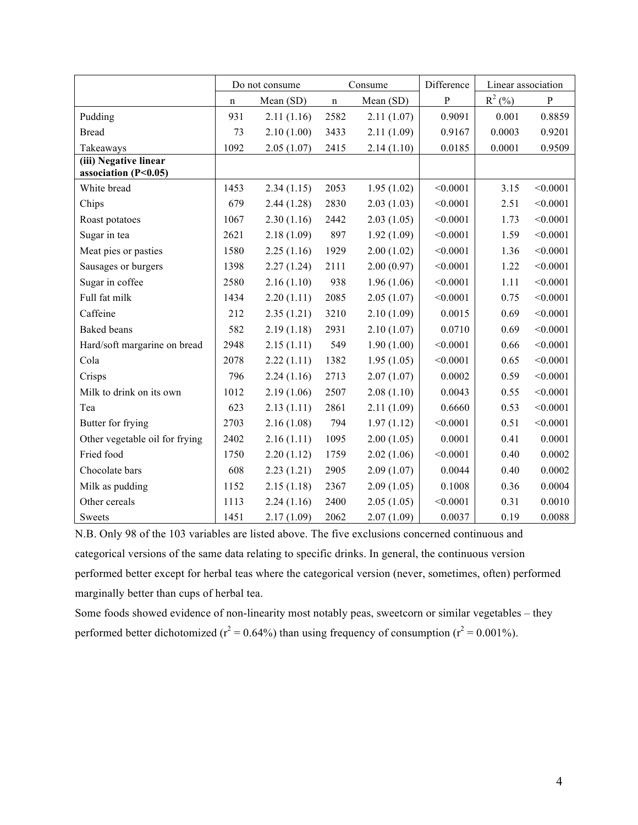|                                                 |             | Do not consume | Consume     |            | Difference   | Linear association |              |
|-------------------------------------------------|-------------|----------------|-------------|------------|--------------|--------------------|--------------|
|                                                 | $\mathbf n$ | Mean (SD)      | $\mathbf n$ | Mean (SD)  | $\mathbf{P}$ | $R^2$ (%)          | $\, {\bf P}$ |
| Pudding                                         | 931         | 2.11(1.16)     | 2582        | 2.11(1.07) | 0.9091       | 0.001              | 0.8859       |
| <b>Bread</b>                                    | 73          | 2.10(1.00)     | 3433        | 2.11(1.09) | 0.9167       | 0.0003             | 0.9201       |
| Takeaways                                       | 1092        | 2.05(1.07)     | 2415        | 2.14(1.10) | 0.0185       | 0.0001             | 0.9509       |
| (iii) Negative linear<br>association $(P<0.05)$ |             |                |             |            |              |                    |              |
| White bread                                     | 1453        | 2.34(1.15)     | 2053        | 1.95(1.02) | < 0.0001     | 3.15               | < 0.0001     |
| Chips                                           | 679         | 2.44(1.28)     | 2830        | 2.03(1.03) | < 0.0001     | 2.51               | < 0.0001     |
| Roast potatoes                                  | 1067        | 2.30(1.16)     | 2442        | 2.03(1.05) | < 0.0001     | 1.73               | < 0.0001     |
| Sugar in tea                                    | 2621        | 2.18(1.09)     | 897         | 1.92(1.09) | < 0.0001     | 1.59               | < 0.0001     |
| Meat pies or pasties                            | 1580        | 2.25(1.16)     | 1929        | 2.00(1.02) | < 0.0001     | 1.36               | < 0.0001     |
| Sausages or burgers                             | 1398        | 2.27(1.24)     | 2111        | 2.00(0.97) | < 0.0001     | 1.22               | < 0.0001     |
| Sugar in coffee                                 | 2580        | 2.16(1.10)     | 938         | 1.96(1.06) | < 0.0001     | 1.11               | < 0.0001     |
| Full fat milk                                   | 1434        | 2.20(1.11)     | 2085        | 2.05(1.07) | < 0.0001     | 0.75               | < 0.0001     |
| Caffeine                                        | 212         | 2.35(1.21)     | 3210        | 2.10(1.09) | 0.0015       | 0.69               | < 0.0001     |
| <b>Baked</b> beans                              | 582         | 2.19(1.18)     | 2931        | 2.10(1.07) | 0.0710       | 0.69               | < 0.0001     |
| Hard/soft margarine on bread                    | 2948        | 2.15(1.11)     | 549         | 1.90(1.00) | < 0.0001     | 0.66               | < 0.0001     |
| Cola                                            | 2078        | 2.22(1.11)     | 1382        | 1.95(1.05) | < 0.0001     | 0.65               | < 0.0001     |
| Crisps                                          | 796         | 2.24(1.16)     | 2713        | 2.07(1.07) | 0.0002       | 0.59               | < 0.0001     |
| Milk to drink on its own                        | 1012        | 2.19(1.06)     | 2507        | 2.08(1.10) | 0.0043       | 0.55               | < 0.0001     |
| Tea                                             | 623         | 2.13(1.11)     | 2861        | 2.11(1.09) | 0.6660       | 0.53               | < 0.0001     |
| Butter for frying                               | 2703        | 2.16(1.08)     | 794         | 1.97(1.12) | < 0.0001     | 0.51               | < 0.0001     |
| Other vegetable oil for frying                  | 2402        | 2.16(1.11)     | 1095        | 2.00(1.05) | 0.0001       | 0.41               | 0.0001       |
| Fried food                                      | 1750        | 2.20(1.12)     | 1759        | 2.02(1.06) | < 0.0001     | 0.40               | 0.0002       |
| Chocolate bars                                  | 608         | 2.23(1.21)     | 2905        | 2.09(1.07) | 0.0044       | 0.40               | 0.0002       |
| Milk as pudding                                 | 1152        | 2.15(1.18)     | 2367        | 2.09(1.05) | 0.1008       | 0.36               | 0.0004       |
| Other cereals                                   | 1113        | 2.24(1.16)     | 2400        | 2.05(1.05) | < 0.0001     | 0.31               | 0.0010       |
| <b>Sweets</b>                                   | 1451        | 2.17(1.09)     | 2062        | 2.07(1.09) | 0.0037       | 0.19               | 0.0088       |

 N.B. Only 98 of the 103 variables are listed above. The five exclusions concerned continuous and categorical versions of the same data relating to specific drinks. In general, the continuous version performed better except for herbal teas where the categorical version (never, sometimes, often) performed marginally better than cups of herbal tea.

 Some foods showed evidence of non-linearity most notably peas, sweetcorn or similar vegetables – they performed better dichotomized ( $r^2 = 0.64\%$ ) than using frequency of consumption ( $r^2 = 0.001\%$ ).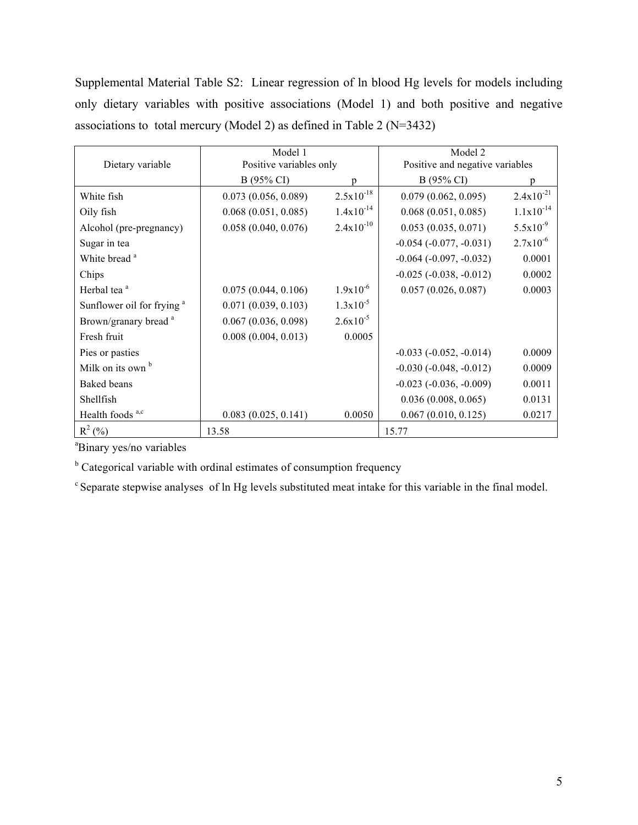Supplemental Material Table S2: Linear regression of ln blood Hg levels for models including only dietary variables with positive associations (Model 1) and both positive and negative associations to total mercury (Model 2) as defined in Table 2 (N=3432)

|                                       | Model 1                 |                | Model 2                         |                |  |
|---------------------------------------|-------------------------|----------------|---------------------------------|----------------|--|
| Dietary variable                      | Positive variables only |                | Positive and negative variables |                |  |
|                                       | B (95% CI)              | n              | B (95% CI)                      |                |  |
| White fish                            | 0.073(0.056, 0.089)     | $2.5x10^{-18}$ | 0.079(0.062, 0.095)             | $2.4x10^{-21}$ |  |
| Oily fish                             | 0.068(0.051, 0.085)     | $1.4x10^{-14}$ | 0.068(0.051, 0.085)             | $1.1x10^{-14}$ |  |
| Alcohol (pre-pregnancy)               | 0.058(0.040, 0.076)     | $2.4x10^{-10}$ | 0.053(0.035, 0.071)             | $5.5x10^{-9}$  |  |
| Sugar in tea                          |                         |                | $-0.054$ $(-0.077, -0.031)$     | $2.7x10^{-6}$  |  |
| White bread <sup>a</sup>              |                         |                | $-0.064$ $(-0.097, -0.032)$     | 0.0001         |  |
| Chips                                 |                         |                | $-0.025$ $(-0.038, -0.012)$     | 0.0002         |  |
| Herbal tea <sup>a</sup>               | 0.075(0.044, 0.106)     | $1.9x10^{-6}$  | 0.057(0.026, 0.087)             | 0.0003         |  |
| Sunflower oil for frying <sup>a</sup> | 0.071(0.039, 0.103)     | $1.3x10^{-5}$  |                                 |                |  |
| Brown/granary bread <sup>a</sup>      | 0.067(0.036, 0.098)     | $2.6x10^{-5}$  |                                 |                |  |
| Fresh fruit                           | 0.008(0.004, 0.013)     | 0.0005         |                                 |                |  |
| Pies or pasties                       |                         |                | $-0.033$ $(-0.052, -0.014)$     | 0.0009         |  |
| Milk on its own b                     |                         |                | $-0.030(-0.048, -0.012)$        | 0.0009         |  |
| Baked beans                           |                         |                | $-0.023$ $(-0.036, -0.009)$     | 0.0011         |  |
| Shellfish                             |                         |                | 0.036(0.008, 0.065)             | 0.0131         |  |
| Health foods <sup>a,c</sup>           | 0.083(0.025, 0.141)     | 0.0050         | 0.067(0.010, 0.125)             | 0.0217         |  |
| $R^2$ (%)                             | 13.58                   |                | 15.77                           |                |  |

a Binary yes/no variables

 $b$  Categorical variable with ordinal estimates of consumption frequency

<sup>c</sup> Separate stepwise analyses of ln Hg levels substituted meat intake for this variable in the final model.